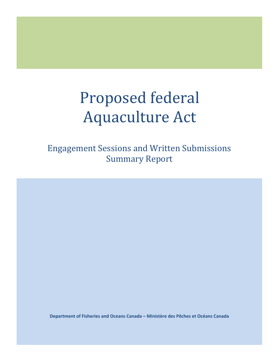# Proposed federal Aquaculture Act

Engagement Sessions and Written Submissions Summary Report

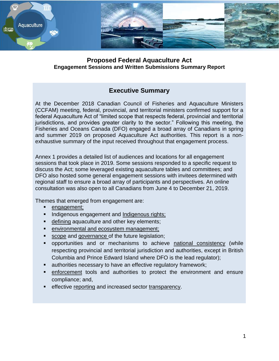

### **Proposed Federal Aquaculture Act Engagement Sessions and Written Submissions Summary Report**

# **Executive Summary**

At the December 2018 Canadian Council of Fisheries and Aquaculture Ministers (CCFAM) meeting, federal, provincial, and territorial ministers confirmed support for a federal Aquaculture Act of "limited scope that respects federal, provincial and territorial jurisdictions, and provides greater clarity to the sector." Following this meeting, the Fisheries and Oceans Canada (DFO) engaged a broad array of Canadians in spring and summer 2019 on proposed Aquaculture Act authorities. This report is a nonexhaustive summary of the input received throughout that engagement process.

Annex 1 provides a detailed list of audiences and locations for all engagement sessions that took place in 2019. Some sessions responded to a specific request to discuss the Act; some leveraged existing aquaculture tables and committees; and DFO also hosted some general engagement sessions with invitees determined with regional staff to ensure a broad array of participants and perspectives. An online consultation was also open to all Canadians from June 4 to December 21, 2019.

Themes that emerged from engagement are:

- engagement;
- Indigenous engagement and Indigenous rights;
- defining aquaculture and other key elements;
- environmental and ecosystem management;
- scope and governance of the future legislation;
- opportunities and or mechanisms to achieve national consistency (while respecting provincial and territorial jurisdiction and authorities, except in British Columbia and Prince Edward Island where DFO is the lead regulator);
- authorities necessary to have an effective regulatory framework;
- enforcement tools and authorities to protect the environment and ensure compliance; and,
- effective reporting and increased sector transparency.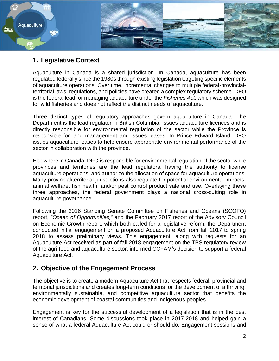

# **1. Legislative Context**

Aquaculture in Canada is a shared jurisdiction. In Canada, aquaculture has been regulated federally since the 1980s through existing legislation targeting specific elements of aquaculture operations. Over time, incremental changes to multiple federal-provincialterritorial laws, regulations, and policies have created a complex regulatory scheme. DFO is the federal lead for managing aquaculture under the *Fisheries Act,* which was designed for wild fisheries and does not reflect the distinct needs of aquaculture.

Three distinct types of regulatory approaches govern aquaculture in Canada. The Department is the lead regulator in British Columbia, issues aquaculture licences and is directly responsible for environmental regulation of the sector while the Province is responsible for land management and issues leases. In Prince Edward Island, DFO issues aquaculture leases to help ensure appropriate environmental performance of the sector in collaboration with the province.

Elsewhere in Canada, DFO is responsible for environmental regulation of the sector while provinces and territories are the lead regulators, having the authority to license aquaculture operations, and authorize the allocation of space for aquaculture operations. Many provincial/territorial jurisdictions also regulate for potential environmental impacts, animal welfare, fish health, and/or pest control product sale and use. Overlaying these three approaches, the federal government plays a national cross-cutting role in aquaculture governance.

Following the 2016 Standing Senate Committee on Fisheries and Oceans (SCOFO) report, *"Ocean of Opportunities,"* and the February 2017 report of the Advisory Council on Economic Growth report, which both called for a legislative reform, the Department conducted initial engagement on a proposed Aquaculture Act from fall 2017 to spring 2018 to assess preliminary views. This engagement, along with requests for an Aquaculture Act received as part of fall 2018 engagement on the TBS regulatory review of the agri-food and aquaculture sector, informed CCFAM's decision to support a federal Aquaculture Act.

# **2. Objective of the Engagement Process**

The objective is to create a modern Aquaculture Act that respects federal, provincial and territorial jurisdictions and creates long-term conditions for the development of a thriving, environmentally sustainable, and competitive aquaculture sector that benefits the economic development of coastal communities and Indigenous peoples.

Engagement is key for the successful development of a legislation that is in the best interest of Canadians. Some discussions took place in 2017-2018 and helped gain a sense of what a federal Aquaculture Act could or should do. Engagement sessions and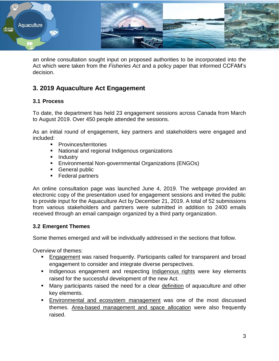

an online consultation sought input on proposed authorities to be incorporated into the Act which were taken from the *Fisheries Act* and a policy paper that informed CCFAM's decision.

# **3. 2019 Aquaculture Act Engagement**

#### **3.1 Process**

To date, the department has held 23 engagement sessions across Canada from March to August 2019. Over 450 people attended the sessions.

As an initial round of engagement, key partners and stakeholders were engaged and included:

- **Provinces/territories**
- National and regional Indigenous organizations
- **Industry**
- Environmental Non-governmental Organizations (ENGOs)
- General public
- Federal partners

An online consultation page was launched June 4, 2019. The webpage provided an electronic copy of the presentation used for engagement sessions and invited the public to provide input for the Aquaculture Act by December 21, 2019. A total of 52 submissions from various stakeholders and partners were submitted in addition to 2400 emails received through an email campaign organized by a third party organization.

#### **3.2 Emergent Themes**

Some themes emerged and will be individually addressed in the sections that follow.

Overview of themes:

- Engagement was raised frequently. Participants called for transparent and broad engagement to consider and integrate diverse perspectives.
- **Indigenous engagement and respecting Indigenous rights were key elements** raised for the successful development of the new Act.
- Many participants raised the need for a clear definition of aquaculture and other key elements.
- **Environmental and ecosystem management was one of the most discussed** themes. Area-based management and space allocation were also frequently raised.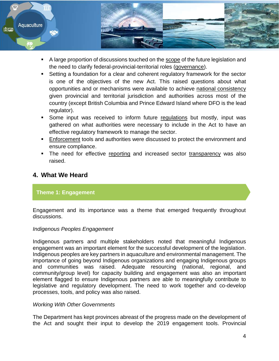

- A large proportion of discussions touched on the scope of the future legislation and the need to clarify federal-provincial-territorial roles (governance).
- Setting a foundation for a clear and coherent regulatory framework for the sector is one of the objectives of the new Act. This raised questions about what opportunities and or mechanisms were available to achieve national consistency given provincial and territorial jurisdiction and authorities across most of the country (except British Columbia and Prince Edward Island where DFO is the lead regulator).
- Some input was received to inform future regulations but mostly, input was gathered on what authorities were necessary to include in the Act to have an effective regulatory framework to manage the sector.
- Enforcement tools and authorities were discussed to protect the environment and ensure compliance.
- The need for effective reporting and increased sector transparency was also raised.

# **4. What We Heard**

#### **Theme 1: Engagement**

Engagement and its importance was a theme that emerged frequently throughout discussions.

#### *Indigenous Peoples Engagement*

Indigenous partners and multiple stakeholders noted that meaningful Indigenous engagement was an important element for the successful development of the legislation. Indigenous peoples are key partners in aquaculture and environmental management. The importance of going beyond Indigenous organizations and engaging Indigenous groups and communities was raised. Adequate resourcing (national, regional, and community/group level) for capacity building and engagement was also an important element flagged to ensure Indigenous partners are able to meaningfully contribute to legislative and regulatory development. The need to work together and co-develop processes, tools, and policy was also raised.

#### *Working With Other Governments*

The Department has kept provinces abreast of the progress made on the development of the Act and sought their input to develop the 2019 engagement tools. Provincial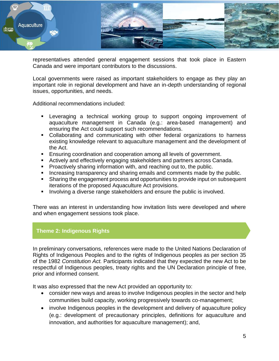

representatives attended general engagement sessions that took place in Eastern Canada and were important contributors to the discussions.

Local governments were raised as important stakeholders to engage as they play an important role in regional development and have an in-depth understanding of regional issues, opportunities, and needs.

Additional recommendations included:

- Leveraging a technical working group to support ongoing improvement of aquaculture management in Canada (e.g.: area-based management) and ensuring the Act could support such recommendations.
- Collaborating and communicating with other federal organizations to harness existing knowledge relevant to aquaculture management and the development of the Act.
- Ensuring coordination and cooperation among all levels of government.
- Actively and effectively engaging stakeholders and partners across Canada.
- **Proactively sharing information with, and reaching out to, the public.**
- **Increasing transparency and sharing emails and comments made by the public.**
- Sharing the engagement process and opportunities to provide input on subsequent iterations of the proposed Aquaculture Act provisions.
- Involving a diverse range stakeholders and ensure the public is involved.

There was an interest in understanding how invitation lists were developed and where and when engagement sessions took place.

#### **Theme 2: Indigenous Rights**

In preliminary conversations, references were made to the United Nations Declaration of Rights of Indigenous Peoples and to the rights of Indigenous peoples as per section 35 of the 1982 *Constitution Act.* Participants indicated that they expected the new Act to be respectful of Indigenous peoples, treaty rights and the UN Declaration principle of free, prior and informed consent.

It was also expressed that the new Act provided an opportunity to:

- consider new ways and areas to involve Indigenous peoples in the sector and help communities build capacity, working progressively towards co-management;
- involve Indigenous peoples in the development and delivery of aquaculture policy (e.g.: development of precautionary principles, definitions for aquaculture and innovation, and authorities for aquaculture management); and,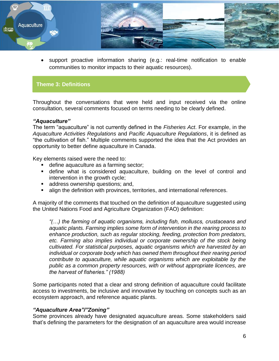

 support proactive information sharing (e.g.: real-time notification to enable communities to monitor impacts to their aquatic resources).

#### **Theme 3: Definitions**

Throughout the conversations that were held and input received via the online consultation, several comments focused on terms needing to be clearly defined.

#### *"Aquaculture"*

The term "aquaculture" is not currently defined in the *Fisheries Act*. For example, in the *Aquaculture Activities Regulations* and *Pacific Aquaculture Regulations*, it is defined as "the cultivation of fish." Multiple comments supported the idea that the Act provides an opportunity to better define aquaculture in Canada.

Key elements raised were the need to:

- **define aquaculture as a farming sector;**
- define what is considered aquaculture, building on the level of control and intervention in the growth cycle;
- **address ownership questions; and,**
- align the definition with provinces, territories, and international references.

A majority of the comments that touched on the definition of aquaculture suggested using the United Nations Food and Agriculture Organization (FAO) definition:

*"(…) the farming of aquatic organisms, including fish, molluscs, crustaceans and aquatic plants. Farming implies some form of intervention in the rearing process to enhance production, such as regular stocking, feeding, protection from predators,*  etc. Farming also implies individual or corporate ownership of the stock being *cultivated. For statistical purposes, aquatic organisms which are harvested by an individual or corporate body which has owned them throughout their rearing period contribute to aquaculture, while aquatic organisms which are exploitable by the public as a common property resources, with or without appropriate licences, are the harvest of fisheries." (1988)*

Some participants noted that a clear and strong definition of aquaculture could facilitate access to investments, be inclusive and innovative by touching on concepts such as an ecosystem approach, and reference aquatic plants.

#### *"Aquaculture Area"/"Zoning"*

Some provinces already have designated aquaculture areas. Some stakeholders said that's defining the parameters for the designation of an aquaculture area would increase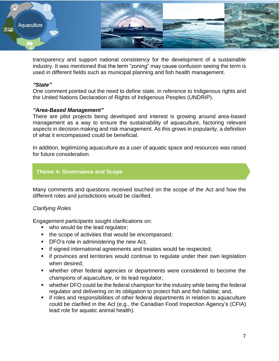

transparency and support national consistency for the development of a sustainable industry. It was mentioned that the term "zoning" may cause confusion seeing the term is used in different fields such as municipal planning and fish health management.

#### *"State"*

One comment pointed out the need to define *state*, in reference to Indigenous rights and the United Nations Declaration of Rights of Indigenous Peoples (UNDRIP).

#### *"Area-Based Management"*

There are pilot projects being developed and interest is growing around area-based management as a way to ensure the sustainability of aquaculture, factoring relevant aspects in decision-making and risk management. As this grows in popularity, a definition of what it encompassed could be beneficial.

In addition, legitimizing aquaculture as a user of aquatic space and resources was raised for future consideration.

#### **Theme 4: Governance and Scope**

Many comments and questions received touched on the scope of the Act and how the different roles and jurisdictions would be clarified.

#### *Clarifying Roles*

Engagement participants sought clarifications on:

- who would be the lead regulator;
- the scope of activities that would be encompassed;
- **DFO's role in administering the new Act;**
- **F** if signed international agreements and treaties would be respected;
- **F** if provinces and territories would continue to regulate under their own legislation when desired;
- whether other federal agencies or departments were considered to become the champions of aquaculture, or its lead regulator;
- whether DFO could be the federal champion for the industry while being the federal regulator and delivering on its obligation to protect fish and fish habitat; and,
- **if roles and responsibilities of other federal departments in relation to aquaculture** could be clarified in the Act (e.g., the Canadian Food Inspection Agency's (CFIA) lead role for aquatic animal health).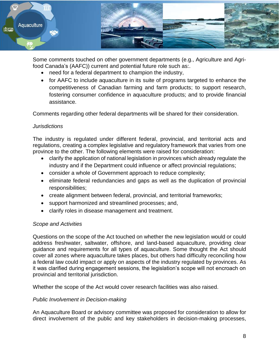

Some comments touched on other government departments (e.g., Agriculture and Agrifood Canada's (AAFC)) current and potential future role such as:.

- need for a federal department to champion the industry,
- for AAFC to include aquaculture in its suite of programs targeted to enhance the competitiveness of Canadian farming and farm products; to support research, fostering consumer confidence in aquaculture products; and to provide financial assistance.

Comments regarding other federal departments will be shared for their consideration.

#### *Jurisdictions*

The industry is regulated under different federal, provincial, and territorial acts and regulations, creating a complex legislative and regulatory framework that varies from one province to the other. The following elements were raised for consideration:

- clarify the application of national legislation in provinces which already regulate the industry and if the Department could influence or affect provincial regulations;
- consider a whole of Government approach to reduce complexity;
- eliminate federal redundancies and gaps as well as the duplication of provincial responsibilities;
- create alignment between federal, provincial, and territorial frameworks;
- support harmonized and streamlined processes; and,
- clarify roles in disease management and treatment.

#### *Scope and Activities*

Questions on the scope of the Act touched on whether the new legislation would or could address freshwater, saltwater, offshore, and land-based aquaculture, providing clear guidance and requirements for all types of aquaculture. Some thought the Act should cover all zones where aquaculture takes places, but others had difficulty reconciling how a federal law could impact or apply on aspects of the industry regulated by provinces. As it was clarified during engagement sessions, the legislation's scope will not encroach on provincial and territorial jurisdiction.

Whether the scope of the Act would cover research facilities was also raised.

#### *Public Involvement in Decision-making*

An Aquaculture Board or advisory committee was proposed for consideration to allow for direct involvement of the public and key stakeholders in decision-making processes,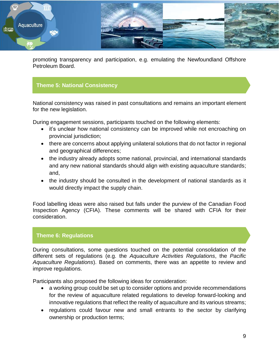

promoting transparency and participation, e.g. emulating the Newfoundland Offshore Petroleum Board.

# **Theme 5: National Consistency**

National consistency was raised in past consultations and remains an important element for the new legislation.

During engagement sessions, participants touched on the following elements:

- it's unclear how national consistency can be improved while not encroaching on provincial jurisdiction;
- there are concerns about applying unilateral solutions that do not factor in regional and geographical differences;
- the industry already adopts some national, provincial, and international standards and any new national standards should align with existing aquaculture standards; and,
- the industry should be consulted in the development of national standards as it would directly impact the supply chain.

Food labelling ideas were also raised but falls under the purview of the Canadian Food Inspection Agency (CFIA). These comments will be shared with CFIA for their consideration.

#### **Theme 6: Regulations**

During consultations, some questions touched on the potential consolidation of the different sets of regulations (e.g. the *Aquaculture Activities Regulations*, the *Pacific Aquaculture Regulations*). Based on comments, there was an appetite to review and improve regulations.

Participants also proposed the following ideas for consideration:

- a working group could be set up to consider options and provide recommendations for the review of aquaculture related regulations to develop forward-looking and innovative regulations that reflect the reality of aquaculture and its various streams;
- regulations could favour new and small entrants to the sector by clarifying ownership or production terms;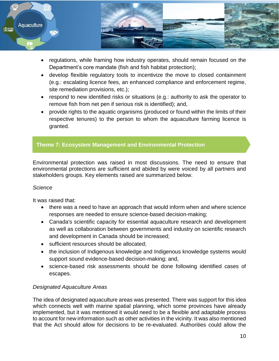

- regulations, while framing how industry operates, should remain focused on the Department's core mandate (fish and fish habitat protection);
- develop flexible regulatory tools to incentivize the move to closed containment (e.g.: escalating licence fees, an enhanced compliance and enforcement regime, site remediation provisions, etc.);
- respond to new identified risks or situations (e.g.: authority to ask the operator to remove fish from net pen if serious risk is identified); and,
- provide rights to the aquatic organisms (produced or found within the limits of their respective tenures) to the person to whom the aquaculture farming licence is granted.

# **Theme 7: Ecosystem Management and Environmental Protection**

Environmental protection was raised in most discussions. The need to ensure that environmental protections are sufficient and abided by were voiced by all partners and stakeholders groups. Key elements raised are summarized below.

#### *Science*

It was raised that:

- there was a need to have an approach that would inform when and where science responses are needed to ensure science-based decision-making;
- Canada's scientific capacity for essential aquaculture research and development as well as collaboration between governments and industry on scientific research and development in Canada should be increased;
- sufficient resources should be allocated:
- the inclusion of Indigenous knowledge and Indigenous knowledge systems would support sound evidence-based decision-making; and,
- science-based risk assessments should be done following identified cases of escapes.

#### *Designated Aquaculture Areas*

The idea of designated aquaculture areas was presented. There was support for this idea which connects well with marine spatial planning, which some provinces have already implemented, but it was mentioned it would need to be a flexible and adaptable process to account for new information such as other activities in the vicinity. It was also mentioned that the Act should allow for decisions to be re-evaluated. Authorities could allow the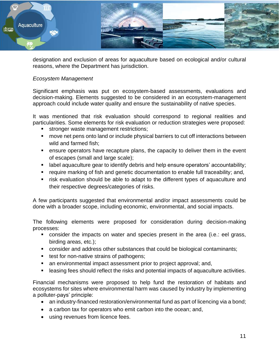

designation and exclusion of areas for aquaculture based on ecological and/or cultural reasons, where the Department has jurisdiction.

#### *Ecosystem Management*

Significant emphasis was put on ecosystem-based assessments, evaluations and decision-making. Elements suggested to be considered in an ecosystem-management approach could include water quality and ensure the sustainability of native species.

It was mentioned that risk evaluation should correspond to regional realities and particularities. Some elements for risk evaluation or reduction strategies were proposed:

- **stronger waste management restrictions;**
- move net pens onto land or include physical barriers to cut off interactions between wild and farmed fish;
- ensure operators have recapture plans, the capacity to deliver them in the event of escapes (small and large scale);
- **EXTED A** label aquaculture gear to identify debris and help ensure operators' accountability;
- require marking of fish and genetic documentation to enable full traceability; and,
- risk evaluation should be able to adapt to the different types of aquaculture and their respective degrees/categories of risks.

A few participants suggested that environmental and/or impact assessments could be done with a broader scope, including economic, environmental, and social impacts.

The following elements were proposed for consideration during decision-making processes:

- consider the impacts on water and species present in the area (i.e.: eel grass, birding areas, etc.);
- consider and address other substances that could be biological contaminants;
- test for non-native strains of pathogens;
- an environmental impact assessment prior to project approval; and,
- leasing fees should reflect the risks and potential impacts of aquaculture activities.

Financial mechanisms were proposed to help fund the restoration of habitats and ecosystems for sites where environmental harm was caused by industry by implementing a polluter-pays' principle:

- an industry-financed restoration/environmental fund as part of licencing via a bond;
- a carbon tax for operators who emit carbon into the ocean; and,
- using revenues from licence fees.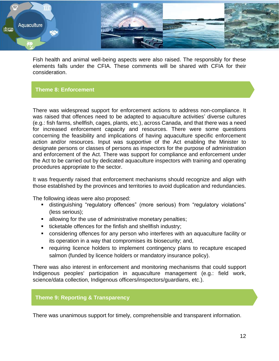

Fish health and animal well-being aspects were also raised. The responsibly for these elements falls under the CFIA. These comments will be shared with CFIA for their consideration.

#### **Theme 8: Enforcement**

There was widespread support for enforcement actions to address non-compliance. It was raised that offences need to be adapted to aquaculture activities' diverse cultures (e.g.: fish farms, shellfish, cages, plants, etc.), across Canada, and that there was a need for increased enforcement capacity and resources. There were some questions concerning the feasibility and implications of having aquaculture specific enforcement action and/or resources. Input was supportive of the Act enabling the Minister to designate persons or classes of persons as inspectors for the purpose of administration and enforcement of the Act. There was support for compliance and enforcement under the Act to be carried out by dedicated aquaculture inspectors with training and operating procedures appropriate to the sector.

It was frequently raised that enforcement mechanisms should recognize and align with those established by the provinces and territories to avoid duplication and redundancies.

The following ideas were also proposed:

- distinguishing "regulatory offences" (more serious) from "regulatory violations" (less serious);
- **EXE** allowing for the use of administrative monetary penalties;
- **ticketable offences for the finfish and shellfish industry;**
- considering offences for any person who interferes with an aquaculture facility or its operation in a way that compromises its biosecurity; and,
- **•** requiring licence holders to implement contingency plans to recapture escaped salmon (funded by licence holders or mandatory insurance policy).

There was also interest in enforcement and monitoring mechanisms that could support Indigenous peoples' participation in aquaculture management (e.g.: field work, science/data collection, Indigenous officers/inspectors/guardians, etc.).

#### **Theme 9: Reporting & Transparency**

There was unanimous support for timely, comprehensible and transparent information.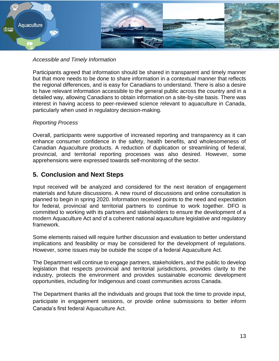

#### *Accessible and Timely Information*

Participants agreed that information should be shared in transparent and timely manner but that more needs to be done to share information in a contextual manner that reflects the regional differences, and is easy for Canadians to understand. There is also a desire to have relevant information accessible to the general public across the country and in a detailed way, allowing Canadians to obtain information on a site-by-site basis. There was interest in having access to peer-reviewed science relevant to aquaculture in Canada, particularly when used in regulatory decision-making.

#### *Reporting Process*

Overall, participants were supportive of increased reporting and transparency as it can enhance consumer confidence in the safety, health benefits, and wholesomeness of Canadian Aquaculture products. A reduction of duplication or streamlining of federal, provincial, and territorial reporting processes was also desired. However, some apprehensions were expressed towards self-monitoring of the sector.

# **5. Conclusion and Next Steps**

Input received will be analyzed and considered for the next iteration of engagement materials and future discussions. A new round of discussions and online consultation is planned to begin in spring 2020. Information received points to the need and expectation for federal, provincial and territorial partners to continue to work together. DFO is committed to working with its partners and stakeholders to ensure the development of a modern Aquaculture Act and of a coherent national aquaculture legislative and regulatory framework.

Some elements raised will require further discussion and evaluation to better understand implications and feasibility or may be considered for the development of regulations. However, some issues may be outside the scope of a federal Aquaculture Act.

The Department will continue to engage partners, stakeholders, and the public to develop legislation that respects provincial and territorial jurisdictions, provides clarity to the industry, protects the environment and provides sustainable economic development opportunities, including for Indigenous and coast communities across Canada.

The Department thanks all the individuals and groups that took the time to provide input, participate in engagement sessions, or provide online submissions to better inform Canada's first federal Aquaculture Act.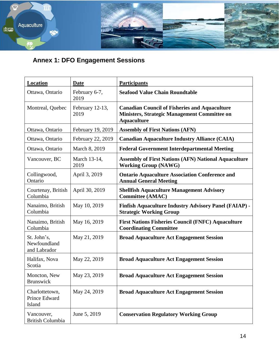

# **Annex 1: DFO Engagement Sessions**

| Location                                    | Date                    | <b>Participants</b>                                                                                                               |
|---------------------------------------------|-------------------------|-----------------------------------------------------------------------------------------------------------------------------------|
| Ottawa, Ontario                             | February 6-7,<br>2019   | <b>Seafood Value Chain Roundtable</b>                                                                                             |
| Montreal, Quebec                            | February 12-13,<br>2019 | <b>Canadian Council of Fisheries and Aquaculture</b><br><b>Ministers, Strategic Management Committee on</b><br><b>Aquaculture</b> |
| Ottawa, Ontario                             | February 19, 2019       | <b>Assembly of First Nations (AFN)</b>                                                                                            |
| Ottawa, Ontario                             | February 22, 2019       | <b>Canadian Aquaculture Industry Alliance (CAIA)</b>                                                                              |
| Ottawa, Ontario                             | March 8, 2019           | <b>Federal Government Interdepartmental Meeting</b>                                                                               |
| Vancouver, BC                               | March 13-14,<br>2019    | <b>Assembly of First Nations (AFN) National Aquaculture</b><br><b>Working Group (NAWG)</b>                                        |
| Collingwood,<br>Ontario                     | April 3, 2019           | <b>Ontario Aquaculture Association Conference and</b><br><b>Annual General Meeting</b>                                            |
| Courtenay, British<br>Columbia              | April 30, 2019          | <b>Shellfish Aquaculture Management Advisory</b><br><b>Committee (AMAC)</b>                                                       |
| Nanaimo, British<br>Columbia                | May 10, 2019            | <b>Finfish Aquaculture Industry Advisory Panel (FAIAP) -</b><br><b>Strategic Working Group</b>                                    |
| Nanaimo, British<br>Columbia                | May 16, 2019            | <b>First Nations Fisheries Council (FNFC) Aquaculture</b><br><b>Coordinating Committee</b>                                        |
| St. John's,<br>Newfoundland<br>and Labrador | May 21, 2019            | <b>Broad Aquaculture Act Engagement Session</b>                                                                                   |
| Halifax, Nova<br>Scotia                     | May 22, 2019            | <b>Broad Aquaculture Act Engagement Session</b>                                                                                   |
| Moncton, New<br><b>Brunswick</b>            | May 23, 2019            | <b>Broad Aquaculture Act Engagement Session</b>                                                                                   |
| Charlottetown,<br>Prince Edward<br>Island   | May 24, 2019            | <b>Broad Aquaculture Act Engagement Session</b>                                                                                   |
| Vancouver,<br><b>British Columbia</b>       | June 5, 2019            | <b>Conservation Regulatory Working Group</b>                                                                                      |